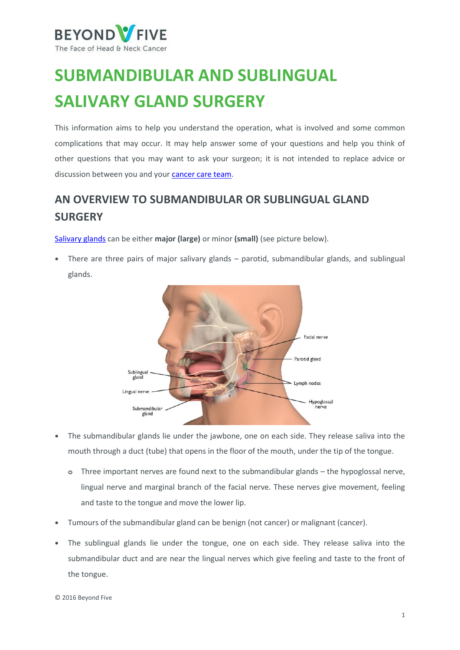

# **SUBMANDIBULAR AND SUBLINGUAL SALIVARY GLAND SURGERY**

This information aims to help you understand the operation, what is involved and some common complications that may occur. It may help answer some of your questions and help you think of other questions that you may want to ask your surgeon; it is not intended to replace advice or discussion between you and you[r cancer care team.](https://beyondfive.org.au/Diagnosis/The-cancer-care-team.aspx)

# **AN OVERVIEW TO SUBMANDIBULAR OR SUBLINGUAL GLAND SURGERY**

[Salivary glands](https://beyondfive.org.au/Types/Salivary-gland-cancer/Overview.aspx) can be either **major (large)** or minor **(small)** (see picture below).

**•** There are three pairs of major salivary glands – parotid, submandibular glands, and sublingual glands.



- **•** The submandibular glands lie under the jawbone, one on each side. They release saliva into the mouth through a duct (tube) that opens in the floor of the mouth, under the tip of the tongue.
	- **o** Three important nerves are found next to the submandibular glands the hypoglossal nerve, lingual nerve and marginal branch of the facial nerve. These nerves give movement, feeling and taste to the tongue and move the lower lip.
- **•** Tumours of the submandibular gland can be benign (not cancer) or malignant (cancer).
- **•** The sublingual glands lie under the tongue, one on each side. They release saliva into the submandibular duct and are near the lingual nerves which give feeling and taste to the front of the tongue.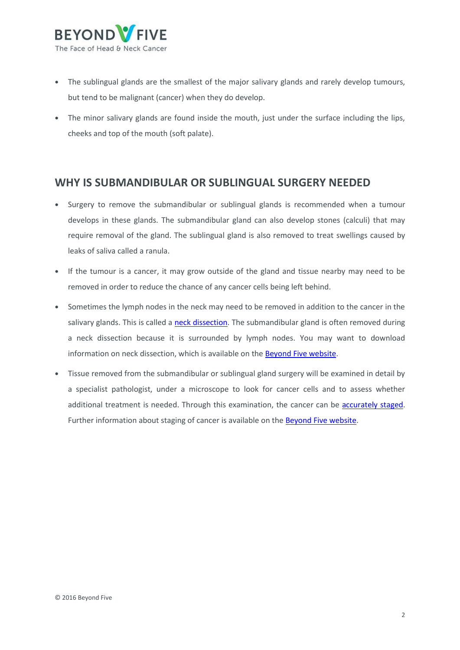

- **•** The sublingual glands are the smallest of the major salivary glands and rarely develop tumours, but tend to be malignant (cancer) when they do develop.
- **•** The minor salivary glands are found inside the mouth, just under the surface including the lips, cheeks and top of the mouth (soft palate).

### **WHY IS SUBMANDIBULAR OR SUBLINGUAL SURGERY NEEDED**

- **•** Surgery to remove the submandibular or sublingual glands is recommended when a tumour develops in these glands. The submandibular gland can also develop stones (calculi) that may require removal of the gland. The sublingual gland is also removed to treat swellings caused by leaks of saliva called a ranula.
- **•** If the tumour is a cancer, it may grow outside of the gland and tissue nearby may need to be removed in order to reduce the chance of any cancer cells being left behind.
- **•** Sometimes the lymph nodes in the neck may need to be removed in addition to the cancer in the salivary glands. This is called a [neck dissection.](/getmedia/0ea227ff-28df-4683-a084-712ce60adac7/Beyond-Five-Neck-Dissection-FINAL-PDF-290317.aspx) The submandibular gland is often removed during a neck dissection because it is surrounded by lymph nodes. You may want to download information on neck dissection, which is available on the **Beyond Five website**.
- **•** Tissue removed from the submandibular or sublingual gland surgery will be examined in detail by a specialist pathologist, under a microscope to look for cancer cells and to assess whether additional treatment is needed. Through this examination, the cancer can be [accurately staged.](https://beyondfive.org.au/Diagnosis/Understanding-diagnosis/Staging-and-grading.aspx) Further information about staging of cancer is available on th[e Beyond Five website.](http://www.beyondfive.org.au/)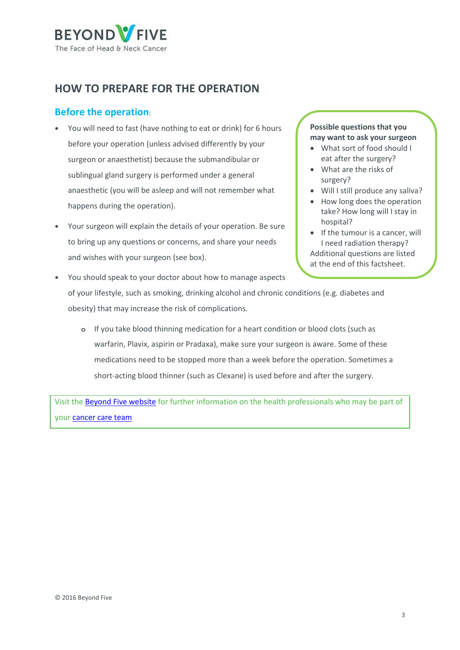

## **HOW TO PREPARE FOR THE OPERATION**

### **Before the operation**:

- **•** You will need to fast (have nothing to eat or drink) for 6 hours before your operation (unless advised differently by your surgeon or anaesthetist) because the submandibular or sublingual gland surgery is performed under a general anaesthetic (you will be asleep and will not remember what happens during the operation).
- **•** Your surgeon will explain the details of your operation. Be sure to bring up any questions or concerns, and share your needs and wishes with your surgeon (see box).

#### **Possible questions that you may want to ask your surgeon**

- What sort of food should I eat after the surgery?
- What are the risks of surgery?
- Will I still produce any saliva?
- How long does the operation take? How long will I stay in hospital?
- $\bullet$  If the tumour is a cancer, will I need radiation therapy? Additional questions are listed at the end of this factsheet.
- **•** You should speak to your doctor about how to manage aspects of your lifestyle, such as smoking, drinking alcohol and chronic conditions (e.g. diabetes and obesity) that may increase the risk of complications.
	- **o** If you take blood thinning medication for a heart condition or blood clots (such as warfarin, Plavix, aspirin or Pradaxa), make sure your surgeon is aware. Some of these medications need to be stopped more than a week before the operation. Sometimes a short-acting blood thinner (such as Clexane) is used before and after the surgery.

Visit the [Beyond Five website](http://www.beyondfive.org.au/) for further information on the health professionals who may be part of your [cancer care team](https://beyondfive.org.au/Diagnosis/The-cancer-care-team.aspx)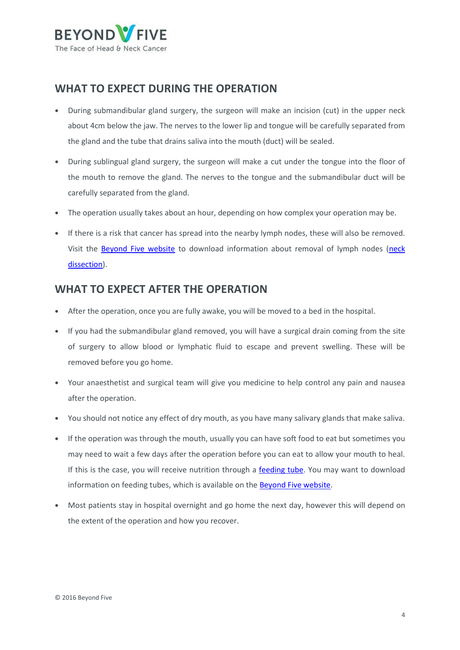

### **WHAT TO EXPECT DURING THE OPERATION**

- **•** During submandibular gland surgery, the surgeon will make an incision (cut) in the upper neck about 4cm below the jaw. The nerves to the lower lip and tongue will be carefully separated from the gland and the tube that drains saliva into the mouth (duct) will be sealed.
- **•** During sublingual gland surgery, the surgeon will make a cut under the tongue into the floor of the mouth to remove the gland. The nerves to the tongue and the submandibular duct will be carefully separated from the gland.
- **•** The operation usually takes about an hour, depending on how complex your operation may be.
- **•** If there is a risk that cancer has spread into the nearby lymph nodes, these will also be removed. Visit the [Beyond Five website](http://www.beyondfive.org.au/) to download information about removal of lymph nodes [\(neck](/getmedia/0ea227ff-28df-4683-a084-712ce60adac7/Beyond-Five-Neck-Dissection-FINAL-PDF-290317.aspx)  [dissection\)](/getmedia/0ea227ff-28df-4683-a084-712ce60adac7/Beyond-Five-Neck-Dissection-FINAL-PDF-290317.aspx).

### **WHAT TO EXPECT AFTER THE OPERATION**

- **•** After the operation, once you are fully awake, you will be moved to a bed in the hospital.
- **•** If you had the submandibular gland removed, you will have a surgical drain coming from the site of surgery to allow blood or lymphatic fluid to escape and prevent swelling. These will be removed before you go home.
- **•** Your anaesthetist and surgical team will give you medicine to help control any pain and nausea after the operation.
- **•** You should not notice any effect of dry mouth, as you have many salivary glands that make saliva.
- **•** If the operation was through the mouth, usually you can have soft food to eat but sometimes you may need to wait a few days after the operation before you can eat to allow your mouth to heal. If this is the case, you will receive nutrition through a [feeding tube.](/getmedia/d4e84bf3-edad-49ee-93f1-681a060612f8/Beyond-Five-Feeding-tubes-Final-PDF-290317.aspx) You may want to download information on feeding tubes, which is available on the [Beyond Five website.](http://www.beyondfive.org.au/)
- **•** Most patients stay in hospital overnight and go home the next day, however this will depend on the extent of the operation and how you recover.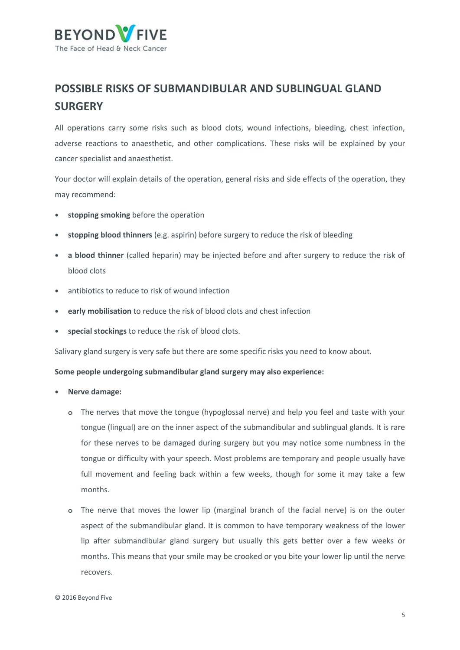

# **POSSIBLE RISKS OF SUBMANDIBULAR AND SUBLINGUAL GLAND SURGERY**

All operations carry some risks such as blood clots, wound infections, bleeding, chest infection, adverse reactions to anaesthetic, and other complications. These risks will be explained by your cancer specialist and anaesthetist.

Your doctor will explain details of the operation, general risks and side effects of the operation, they may recommend:

- **• stopping smoking** before the operation
- **• stopping blood thinners** (e.g. aspirin) before surgery to reduce the risk of bleeding
- **• a blood thinner** (called heparin) may be injected before and after surgery to reduce the risk of blood clots
- **•** antibiotics to reduce to risk of wound infection
- **• early mobilisation** to reduce the risk of blood clots and chest infection
- **• special stockings** to reduce the risk of blood clots.

Salivary gland surgery is very safe but there are some specific risks you need to know about.

#### **Some people undergoing submandibular gland surgery may also experience:**

- **• Nerve damage:**
	- **o** The nerves that move the tongue (hypoglossal nerve) and help you feel and taste with your tongue (lingual) are on the inner aspect of the submandibular and sublingual glands. It is rare for these nerves to be damaged during surgery but you may notice some numbness in the tongue or difficulty with your speech. Most problems are temporary and people usually have full movement and feeling back within a few weeks, though for some it may take a few months.
	- **o** The nerve that moves the lower lip (marginal branch of the facial nerve) is on the outer aspect of the submandibular gland. It is common to have temporary weakness of the lower lip after submandibular gland surgery but usually this gets better over a few weeks or months. This means that your smile may be crooked or you bite your lower lip until the nerve recovers.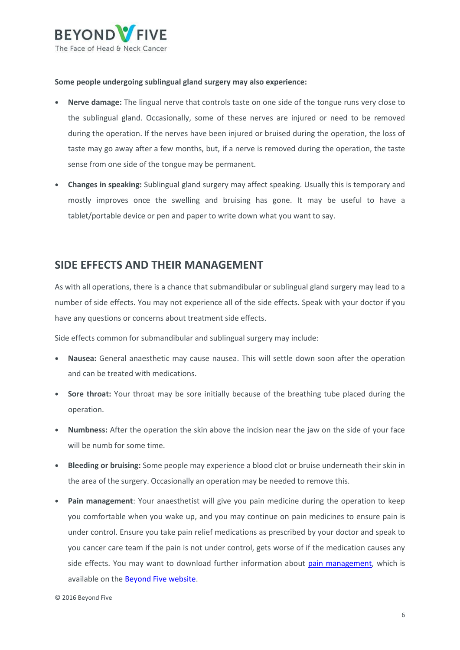

#### **Some people undergoing sublingual gland surgery may also experience:**

- **• Nerve damage:** The lingual nerve that controls taste on one side of the tongue runs very close to the sublingual gland. Occasionally, some of these nerves are injured or need to be removed during the operation. If the nerves have been injured or bruised during the operation, the loss of taste may go away after a few months, but, if a nerve is removed during the operation, the taste sense from one side of the tongue may be permanent.
- **• Changes in speaking:** Sublingual gland surgery may affect speaking. Usually this is temporary and mostly improves once the swelling and bruising has gone. It may be useful to have a tablet/portable device or pen and paper to write down what you want to say.

### **SIDE EFFECTS AND THEIR MANAGEMENT**

As with all operations, there is a chance that submandibular or sublingual gland surgery may lead to a number of side effects. You may not experience all of the side effects. Speak with your doctor if you have any questions or concerns about treatment side effects.

Side effects common for submandibular and sublingual surgery may include:

- **• Nausea:** General anaesthetic may cause nausea. This will settle down soon after the operation and can be treated with medications.
- **• Sore throat:** Your throat may be sore initially because of the breathing tube placed during the operation.
- **• Numbness:** After the operation the skin above the incision near the jaw on the side of your face will be numb for some time.
- **• Bleeding or bruising:** Some people may experience a blood clot or bruise underneath their skin in the area of the surgery. Occasionally an operation may be needed to remove this.
- **• Pain management**: Your anaesthetist will give you pain medicine during the operation to keep you comfortable when you wake up, and you may continue on pain medicines to ensure pain is under control. Ensure you take pain relief medications as prescribed by your doctor and speak to you cancer care team if the pain is not under control, gets worse of if the medication causes any side effects. You may want to download further information about [pain management,](/getmedia/0bdd4cf4-94b2-49e5-bc9a-3e38e694d9c4/Beyond-Five-Pain-management.aspx) which is available on th[e Beyond Five website.](http://www.beyondfive.org.au/)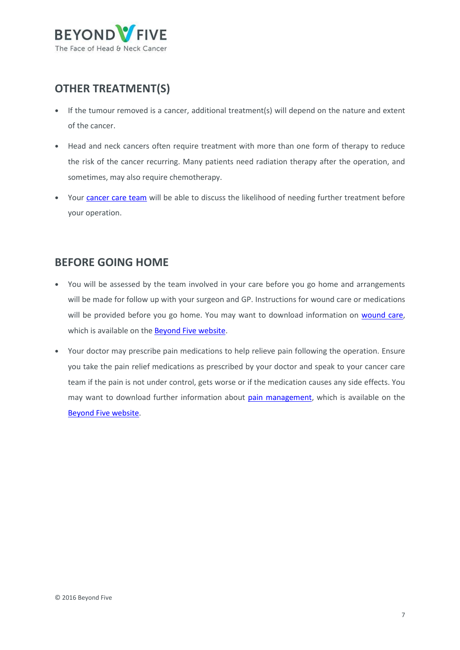

# **OTHER TREATMENT(S)**

- **•** If the tumour removed is a cancer, additional treatment(s) will depend on the nature and extent of the cancer.
- **•** Head and neck cancers often require treatment with more than one form of therapy to reduce the risk of the cancer recurring. Many patients need radiation therapy after the operation, and sometimes, may also require chemotherapy.
- Your [cancer care team](https://beyondfive.org.au/Diagnosis/The-cancer-care-team.aspx) will be able to discuss the likelihood of needing further treatment before your operation.

### **BEFORE GOING HOME**

- **•** You will be assessed by the team involved in your care before you go home and arrangements will be made for follow up with your surgeon and GP. Instructions for wound care or medications will be provided before you go home. You may want to download information on [wound care,](/getmedia/89a1c512-f762-4b76-a080-f8c1052b97b7/Beyond-Five-Wound-Care-Fact-Sheet.aspx) which is available on the **Beyond Five website**.
- **•** Your doctor may prescribe pain medications to help relieve pain following the operation. Ensure you take the pain relief medications as prescribed by your doctor and speak to your cancer care team if the pain is not under control, gets worse or if the medication causes any side effects. You may want to download further information about [pain management,](/getmedia/0bdd4cf4-94b2-49e5-bc9a-3e38e694d9c4/Beyond-Five-Pain-management.aspx) which is available on the [Beyond Five website.](http://www.beyondfive.org.au/)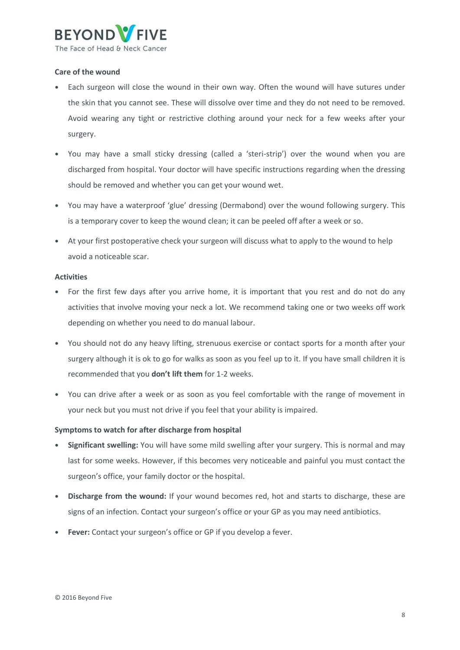

#### **Care of the wound**

- **•** Each surgeon will close the wound in their own way. Often the wound will have sutures under the skin that you cannot see. These will dissolve over time and they do not need to be removed. Avoid wearing any tight or restrictive clothing around your neck for a few weeks after your surgery.
- **•** You may have a small sticky dressing (called a 'steri-strip') over the wound when you are discharged from hospital. Your doctor will have specific instructions regarding when the dressing should be removed and whether you can get your wound wet.
- **•** You may have a waterproof 'glue' dressing (Dermabond) over the wound following surgery. This is a temporary cover to keep the wound clean; it can be peeled off after a week or so.
- **•** At your first postoperative check your surgeon will discuss what to apply to the wound to help avoid a noticeable scar.

#### **Activities**

- **•** For the first few days after you arrive home, it is important that you rest and do not do any activities that involve moving your neck a lot. We recommend taking one or two weeks off work depending on whether you need to do manual labour.
- **•** You should not do any heavy lifting, strenuous exercise or contact sports for a month after your surgery although it is ok to go for walks as soon as you feel up to it. If you have small children it is recommended that you **don't lift them** for 1-2 weeks.
- **•** You can drive after a week or as soon as you feel comfortable with the range of movement in your neck but you must not drive if you feel that your ability is impaired.

#### **Symptoms to watch for after discharge from hospital**

- **• Significant swelling:** You will have some mild swelling after your surgery. This is normal and may last for some weeks. However, if this becomes very noticeable and painful you must contact the surgeon's office, your family doctor or the hospital.
- **• Discharge from the wound:** If your wound becomes red, hot and starts to discharge, these are signs of an infection. Contact your surgeon's office or your GP as you may need antibiotics.
- **• Fever:** Contact your surgeon's office or GP if you develop a fever.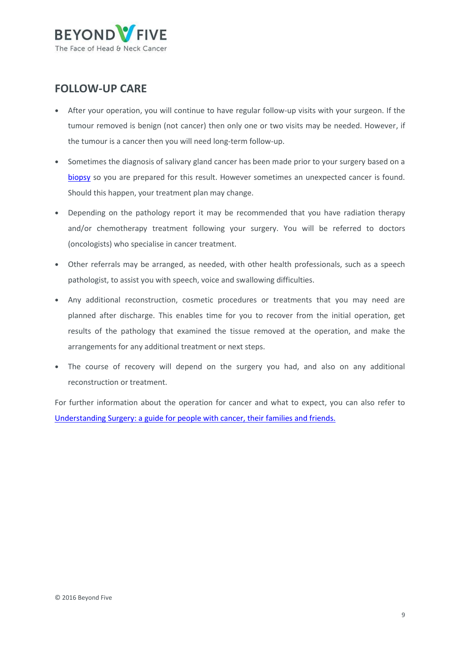

### **FOLLOW-UP CARE**

- **•** After your operation, you will continue to have regular follow-up visits with your surgeon. If the tumour removed is benign (not cancer) then only one or two visits may be needed. However, if the tumour is a cancer then you will need long-term follow-up.
- **•** Sometimes the diagnosis of salivary gland cancer has been made prior to your surgery based on a [biopsy](https://beyondfive.org.au/Diagnosis/What-tests-do-I-need-to-have/Biopsy.aspx) so you are prepared for this result. However sometimes an unexpected cancer is found. Should this happen, your treatment plan may change.
- **•** Depending on the pathology report it may be recommended that you have radiation therapy and/or chemotherapy treatment following your surgery. You will be referred to doctors (oncologists) who specialise in cancer treatment.
- **•** Other referrals may be arranged, as needed, with other health professionals, such as a speech pathologist, to assist you with speech, voice and swallowing difficulties.
- **•** Any additional reconstruction, cosmetic procedures or treatments that you may need are planned after discharge. This enables time for you to recover from the initial operation, get results of the pathology that examined the tissue removed at the operation, and make the arrangements for any additional treatment or next steps.
- **•** The course of recovery will depend on the surgery you had, and also on any additional reconstruction or treatment.

For further information about the operation for cancer and what to expect, you can also refer to [Understanding Surgery: a guide for people with cancer, their families and friends.](http://www.cancer.org.au/content/about_cancer/treatment/Understanding-Surgery_booklet_April_2016.pdf)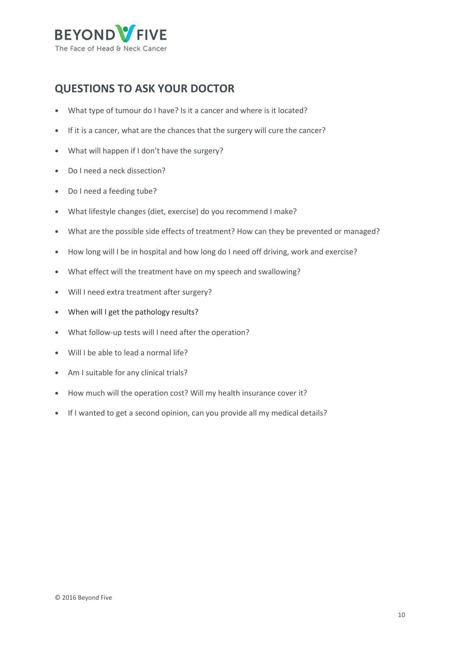

# **QUESTIONS TO ASK YOUR DOCTOR**

- **•** What type of tumour do I have? Is it a cancer and where is it located?
- **•** If it is a cancer, what are the chances that the surgery will cure the cancer?
- **•** What will happen if I don't have the surgery?
- **•** Do I need a neck dissection?
- **•** Do I need a feeding tube?
- **•** What lifestyle changes (diet, exercise) do you recommend I make?
- **•** What are the possible side effects of treatment? How can they be prevented or managed?
- **•** How long will I be in hospital and how long do I need off driving, work and exercise?
- **•** What effect will the treatment have on my speech and swallowing?
- **•** Will I need extra treatment after surgery?
- **•** When will I get the pathology results?
- **•** What follow-up tests will I need after the operation?
- **•** Will I be able to lead a normal life?
- **•** Am I suitable for any clinical trials?
- **•** How much will the operation cost? Will my health insurance cover it?
- **•** If I wanted to get a second opinion, can you provide all my medical details?